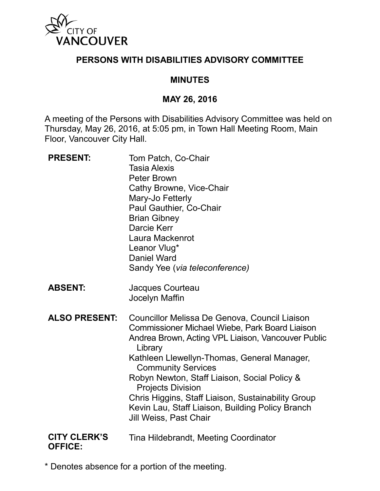

## **PERSONS WITH DISABILITIES ADVISORY COMMITTEE**

### **MINUTES**

#### **MAY 26, 2016**

A meeting of the Persons with Disabilities Advisory Committee was held on Thursday, May 26, 2016, at 5:05 pm, in Town Hall Meeting Room, Main Floor, Vancouver City Hall.

| <b>PRESENT:</b>                       | Tom Patch, Co-Chair<br><b>Tasia Alexis</b><br><b>Peter Brown</b><br>Cathy Browne, Vice-Chair<br>Mary-Jo Fetterly<br>Paul Gauthier, Co-Chair<br><b>Brian Gibney</b><br>Darcie Kerr<br>Laura Mackenrot<br>Leanor Vlug*<br>Daniel Ward<br>Sandy Yee (via teleconference)                                                                                                                                                                                               |
|---------------------------------------|---------------------------------------------------------------------------------------------------------------------------------------------------------------------------------------------------------------------------------------------------------------------------------------------------------------------------------------------------------------------------------------------------------------------------------------------------------------------|
| <b>ABSENT:</b>                        | Jacques Courteau<br>Jocelyn Maffin                                                                                                                                                                                                                                                                                                                                                                                                                                  |
| <b>ALSO PRESENT:</b>                  | Councillor Melissa De Genova, Council Liaison<br>Commissioner Michael Wiebe, Park Board Liaison<br>Andrea Brown, Acting VPL Liaison, Vancouver Public<br>Library<br>Kathleen Llewellyn-Thomas, General Manager,<br><b>Community Services</b><br>Robyn Newton, Staff Liaison, Social Policy &<br><b>Projects Division</b><br>Chris Higgins, Staff Liaison, Sustainability Group<br>Kevin Lau, Staff Liaison, Building Policy Branch<br><b>Jill Weiss, Past Chair</b> |
| <b>CITY CLERK'S</b><br><b>OFFICE:</b> | Tina Hildebrandt, Meeting Coordinator                                                                                                                                                                                                                                                                                                                                                                                                                               |

\* Denotes absence for a portion of the meeting.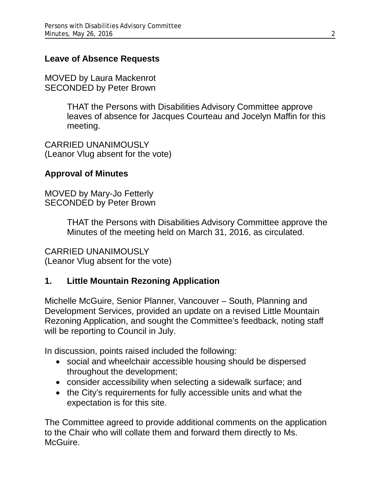### **Leave of Absence Requests**

MOVED by Laura Mackenrot SECONDED by Peter Brown

> THAT the Persons with Disabilities Advisory Committee approve leaves of absence for Jacques Courteau and Jocelyn Maffin for this meeting.

CARRIED UNANIMOUSLY (Leanor Vlug absent for the vote)

#### **Approval of Minutes**

MOVED by Mary-Jo Fetterly SECONDED by Peter Brown

> THAT the Persons with Disabilities Advisory Committee approve the Minutes of the meeting held on March 31, 2016, as circulated.

CARRIED UNANIMOUSLY (Leanor Vlug absent for the vote)

# **1. Little Mountain Rezoning Application**

Michelle McGuire, Senior Planner, Vancouver – South, Planning and Development Services, provided an update on a revised Little Mountain Rezoning Application, and sought the Committee's feedback, noting staff will be reporting to Council in July.

In discussion, points raised included the following:

- social and wheelchair accessible housing should be dispersed throughout the development;
- consider accessibility when selecting a sidewalk surface; and
- the City's requirements for fully accessible units and what the expectation is for this site.

The Committee agreed to provide additional comments on the application to the Chair who will collate them and forward them directly to Ms. McGuire.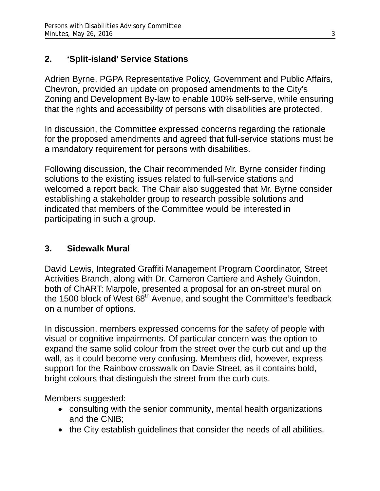# **2. 'Split-island' Service Stations**

Adrien Byrne, PGPA Representative Policy, Government and Public Affairs, Chevron, provided an update on proposed amendments to the City's Zoning and Development By-law to enable 100% self-serve, while ensuring that the rights and accessibility of persons with disabilities are protected.

In discussion, the Committee expressed concerns regarding the rationale for the proposed amendments and agreed that full-service stations must be a mandatory requirement for persons with disabilities.

Following discussion, the Chair recommended Mr. Byrne consider finding solutions to the existing issues related to full-service stations and welcomed a report back. The Chair also suggested that Mr. Byrne consider establishing a stakeholder group to research possible solutions and indicated that members of the Committee would be interested in participating in such a group.

# **3. Sidewalk Mural**

David Lewis, Integrated Graffiti Management Program Coordinator, Street Activities Branch, along with Dr. Cameron Cartiere and Ashely Guindon, both of ChART: Marpole, presented a proposal for an on-street mural on the 1500 block of West 68<sup>th</sup> Avenue, and sought the Committee's feedback on a number of options.

In discussion, members expressed concerns for the safety of people with visual or cognitive impairments. Of particular concern was the option to expand the same solid colour from the street over the curb cut and up the wall, as it could become very confusing. Members did, however, express support for the Rainbow crosswalk on Davie Street, as it contains bold, bright colours that distinguish the street from the curb cuts.

Members suggested:

- consulting with the senior community, mental health organizations and the CNIB;
- the City establish guidelines that consider the needs of all abilities.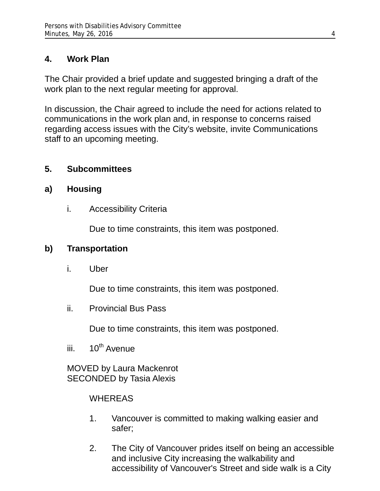# **4. Work Plan**

The Chair provided a brief update and suggested bringing a draft of the work plan to the next regular meeting for approval.

In discussion, the Chair agreed to include the need for actions related to communications in the work plan and, in response to concerns raised regarding access issues with the City's website, invite Communications staff to an upcoming meeting.

## **5. Subcommittees**

## **a) Housing**

i. Accessibility Criteria

Due to time constraints, this item was postponed.

# **b) Transportation**

i. Uber

Due to time constraints, this item was postponed.

ii. Provincial Bus Pass

Due to time constraints, this item was postponed.

iii.  $10^{th}$  Avenue

MOVED by Laura Mackenrot SECONDED by Tasia Alexis

# WHEREAS

- 1. Vancouver is committed to making walking easier and safer;
- 2. The City of Vancouver prides itself on being an accessible and inclusive City increasing the walkability and accessibility of Vancouver's Street and side walk is a City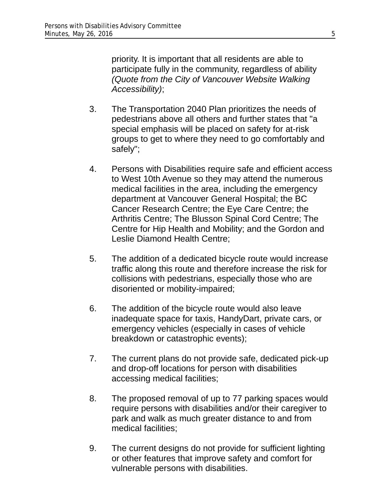priority. It is important that all residents are able to participate fully in the community, regardless of ability *(Quote from the City of Vancouver Website Walking Accessibility)*;

- 3. The Transportation 2040 Plan prioritizes the needs of pedestrians above all others and further states that "a special emphasis will be placed on safety for at-risk groups to get to where they need to go comfortably and safely";
- 4. Persons with Disabilities require safe and efficient access to West 10th Avenue so they may attend the numerous medical facilities in the area, including the emergency department at Vancouver General Hospital; the BC Cancer Research Centre; the Eye Care Centre; the Arthritis Centre; The Blusson Spinal Cord Centre; The Centre for Hip Health and Mobility; and the Gordon and Leslie Diamond Health Centre;
- 5. The addition of a dedicated bicycle route would increase traffic along this route and therefore increase the risk for collisions with pedestrians, especially those who are disoriented or mobility-impaired;
- 6. The addition of the bicycle route would also leave inadequate space for taxis, HandyDart, private cars, or emergency vehicles (especially in cases of vehicle breakdown or catastrophic events);
- 7. The current plans do not provide safe, dedicated pick-up and drop-off locations for person with disabilities accessing medical facilities;
- 8. The proposed removal of up to 77 parking spaces would require persons with disabilities and/or their caregiver to park and walk as much greater distance to and from medical facilities;
- 9. The current designs do not provide for sufficient lighting or other features that improve safety and comfort for vulnerable persons with disabilities.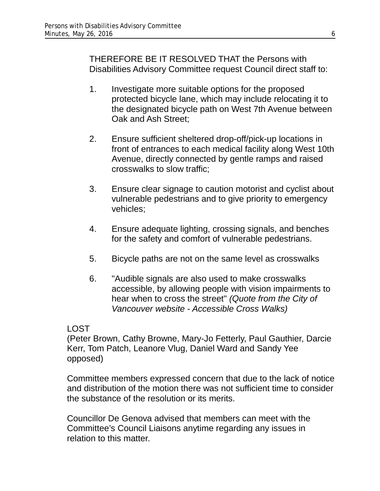THEREFORE BE IT RESOLVED THAT the Persons with Disabilities Advisory Committee request Council direct staff to:

- 1. Investigate more suitable options for the proposed protected bicycle lane, which may include relocating it to the designated bicycle path on West 7th Avenue between Oak and Ash Street;
- 2. Ensure sufficient sheltered drop-off/pick-up locations in front of entrances to each medical facility along West 10th Avenue, directly connected by gentle ramps and raised crosswalks to slow traffic;
- 3. Ensure clear signage to caution motorist and cyclist about vulnerable pedestrians and to give priority to emergency vehicles;
- 4. Ensure adequate lighting, crossing signals, and benches for the safety and comfort of vulnerable pedestrians.
- 5. Bicycle paths are not on the same level as crosswalks
- 6. "Audible signals are also used to make crosswalks accessible, by allowing people with vision impairments to hear when to cross the street" *(Quote from the City of Vancouver website - Accessible Cross Walks)*

#### LOST

(Peter Brown, Cathy Browne, Mary-Jo Fetterly, Paul Gauthier, Darcie Kerr, Tom Patch, Leanore Vlug, Daniel Ward and Sandy Yee opposed)

Committee members expressed concern that due to the lack of notice and distribution of the motion there was not sufficient time to consider the substance of the resolution or its merits.

Councillor De Genova advised that members can meet with the Committee's Council Liaisons anytime regarding any issues in relation to this matter.